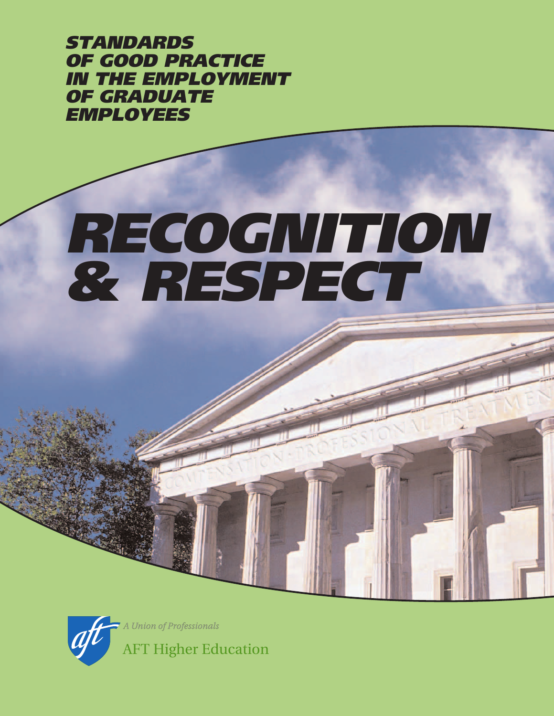STANDARDS OF GOOD PRACTICE IN THE EMPLOYMENT OF GRADUATE EMPLOYEES

# RECOGNITION & RESPECT

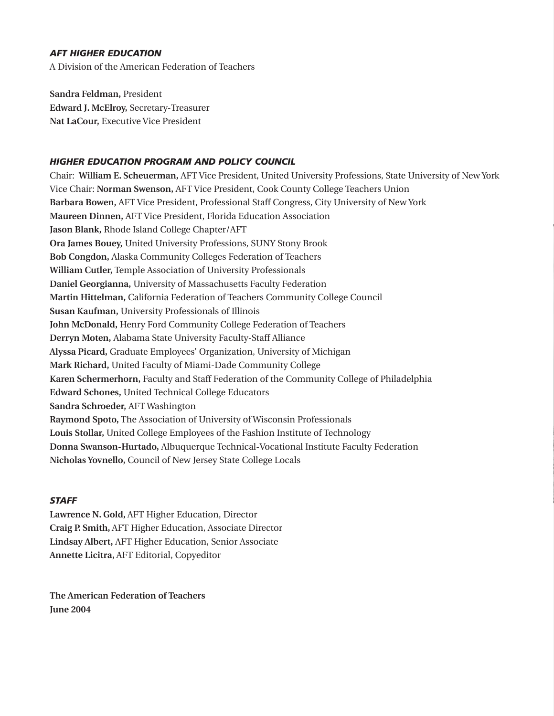#### *AFT HIGHER EDUCATION*

A Division of the American Federation of Teachers

**Sandra Feldman,** President **Edward J. McElroy,** Secretary-Treasurer **Nat LaCour,** Executive Vice President

#### *HIGHER EDUCATION PROGRAM AND POLICY COUNCIL*

Chair: **William E. Scheuerman,** AFT Vice President, United University Professions, State University of New York Vice Chair: **Norman Swenson,** AFT Vice President, Cook County College Teachers Union **Barbara Bowen,** AFT Vice President, Professional Staff Congress, City University of New York **Maureen Dinnen,** AFT Vice President, Florida Education Association **Jason Blank,** Rhode Island College Chapter/AFT **Ora James Bouey,** United University Professions, SUNY Stony Brook **Bob Congdon,** Alaska Community Colleges Federation of Teachers **William Cutler,** Temple Association of University Professionals **Daniel Georgianna,** University of Massachusetts Faculty Federation **Martin Hittelman,** California Federation of Teachers Community College Council **Susan Kaufman,** University Professionals of Illinois **John McDonald,** Henry Ford Community College Federation of Teachers **Derryn Moten,** Alabama State University Faculty-Staff Alliance **Alyssa Picard,** Graduate Employeesí Organization, University of Michigan **Mark Richard,** United Faculty of Miami-Dade Community College **Karen Schermerhorn,** Faculty and Staff Federation of the Community College of Philadelphia **Edward Schones,** United Technical College Educators **Sandra Schroeder,** AFT Washington **Raymond Spoto,** The Association of University of Wisconsin Professionals **Louis Stollar,** United College Employees of the Fashion Institute of Technology **Donna Swanson-Hurtado,** Albuquerque Technical-Vocational Institute Faculty Federation **Nicholas Yovnello,** Council of New Jersey State College Locals

#### *STAFF*

**Lawrence N. Gold,** AFT Higher Education, Director **Craig P. Smith,** AFT Higher Education, Associate Director **Lindsay Albert,** AFT Higher Education, Senior Associate **Annette Licitra,** AFT Editorial, Copyeditor

**The American Federation of Teachers June 2004**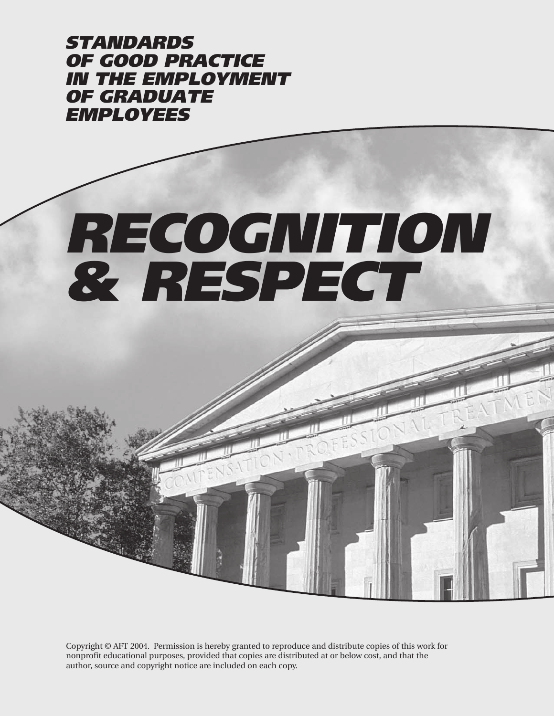STANDARDS OF GOOD PRACTICE IN THE EMPLOYMENT OF GRADUATE EMPLOYEES

# RECOGNITION & RESPECT

Copyright © AFT 2004. Permission is hereby granted to reproduce and distribute copies of this work for nonprofit educational purposes, provided that copies are distributed at or below cost, and that the author, source and copyright notice are included on each copy.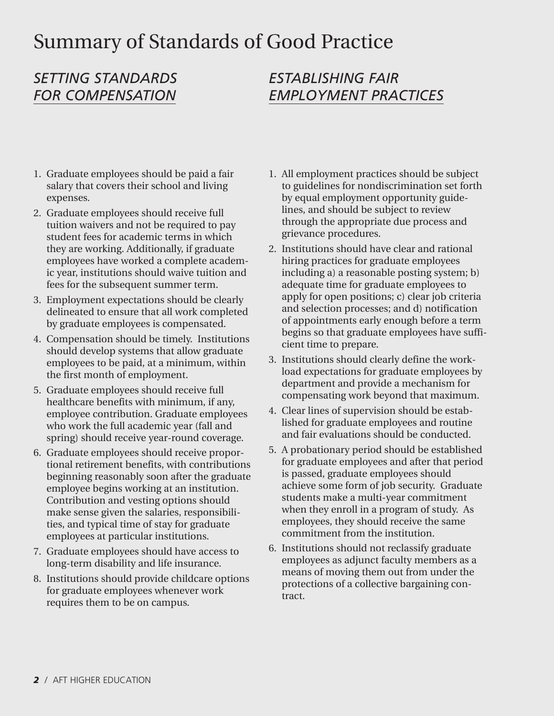# Summary of Standards of Good Practice

# *SETTING STANDARDS FOR COMPENSATION*

## *ESTABLISHING FAIR EMPLOYMENT PRACTICES*

- 1. Graduate employees should be paid a fair salary that covers their school and living expenses.
- 2. Graduate employees should receive full tuition waivers and not be required to pay student fees for academic terms in which they are working. Additionally, if graduate employees have worked a complete academic year, institutions should waive tuition and fees for the subsequent summer term.
- 3. Employment expectations should be clearly delineated to ensure that all work completed by graduate employees is compensated.
- 4. Compensation should be timely. Institutions should develop systems that allow graduate employees to be paid, at a minimum, within the first month of employment.
- 5. Graduate employees should receive full healthcare benefits with minimum, if any, employee contribution. Graduate employees who work the full academic year (fall and spring) should receive year-round coverage.
- 6. Graduate employees should receive proportional retirement benefits, with contributions beginning reasonably soon after the graduate employee begins working at an institution. Contribution and vesting options should make sense given the salaries, responsibilities, and typical time of stay for graduate employees at particular institutions.
- 7. Graduate employees should have access to long-term disability and life insurance.
- 8. Institutions should provide childcare options for graduate employees whenever work requires them to be on campus.
- 1. All employment practices should be subject to guidelines for nondiscrimination set forth by equal employment opportunity guidelines, and should be subject to review through the appropriate due process and grievance procedures.
- 2. Institutions should have clear and rational hiring practices for graduate employees including a) a reasonable posting system; b) adequate time for graduate employees to apply for open positions; c) clear job criteria and selection processes; and d) notification of appointments early enough before a term begins so that graduate employees have sufficient time to prepare.
- 3. Institutions should clearly define the workload expectations for graduate employees by department and provide a mechanism for compensating work beyond that maximum.
- 4. Clear lines of supervision should be established for graduate employees and routine and fair evaluations should be conducted.
- 5. A probationary period should be established for graduate employees and after that period is passed, graduate employees should achieve some form of job security. Graduate students make a multi-year commitment when they enroll in a program of study. As employees, they should receive the same commitment from the institution.
- 6. Institutions should not reclassify graduate employees as adjunct faculty members as a means of moving them out from under the protections of a collective bargaining contract.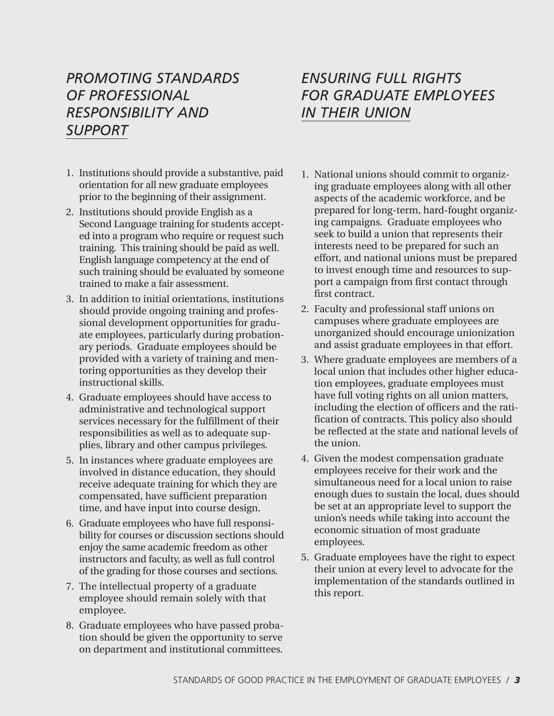## *PROMOTING STANDARDS OF PROFESSIONAL RESPONSIBILITY AND SUPPORT*

- 1. Institutions should provide a substantive, paid orientation for all new graduate employees prior to the beginning of their assignment.
- 2. Institutions should provide English as a Second Language training for students accepted into a program who require or request such training. This training should be paid as well. English language competency at the end of such training should be evaluated by someone trained to make a fair assessment.
- 3. In addition to initial orientations, institutions should provide ongoing training and professional development opportunities for graduate employees, particularly during probationary periods. Graduate employees should be provided with a variety of training and mentoring opportunities as they develop their instructional skills.
- 4. Graduate employees should have access to administrative and technological support services necessary for the fulfillment of their responsibilities as well as to adequate supplies, library and other campus privileges.
- 5. In instances where graduate employees are involved in distance education, they should receive adequate training for which they are compensated, have sufficient preparation time, and have input into course design.
- 6. Graduate employees who have full responsibility for courses or discussion sections should enjoy the same academic freedom as other instructors and faculty, as well as full control of the grading for those courses and sections.
- 7. The intellectual property of a graduate employee should remain solely with that employee.
- 8. Graduate employees who have passed probation should be given the opportunity to serve on department and institutional committees.

## *ENSURING FULL RIGHTS FOR GRADUATE EMPLOYEES IN THEIR UNION*

- 1. National unions should commit to organizing graduate employees along with all other aspects of the academic workforce, and be prepared for long-term, hard-fought organizing campaigns. Graduate employees who seek to build a union that represents their interests need to be prepared for such an effort, and national unions must be prepared to invest enough time and resources to support a campaign from first contact through first contract.
- 2. Faculty and professional staff unions on campuses where graduate employees are unorganized should encourage unionization and assist graduate employees in that effort.
- 3. Where graduate employees are members of a local union that includes other higher education employees, graduate employees must have full voting rights on all union matters, including the election of officers and the ratification of contracts. This policy also should be reflected at the state and national levels of the union.
- 4. Given the modest compensation graduate employees receive for their work and the simultaneous need for a local union to raise enough dues to sustain the local, dues should be set at an appropriate level to support the unionís needs while taking into account the economic situation of most graduate employees.
- 5. Graduate employees have the right to expect their union at every level to advocate for the implementation of the standards outlined in this report.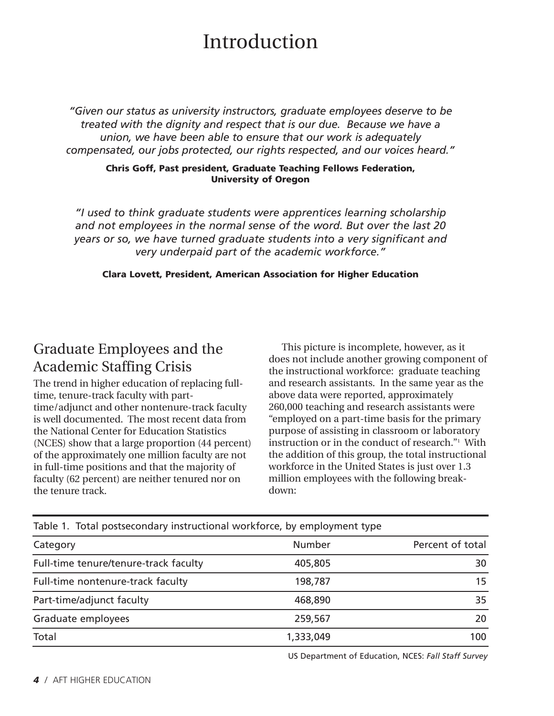# Introduction

*ìGiven our status as university instructors, graduate employees deserve to be treated with the dignity and respect that is our due. Because we have a union, we have been able to ensure that our work is adequately compensated, our jobs protected, our rights respected, and our voices heard.*<sup>"</sup>

#### **Chris Goff, Past president, Graduate Teaching Fellows Federation, University of Oregon**

*ìI used to think graduate students were apprentices learning scholarship and not employees in the normal sense of the word. But over the last 20 years or so, we have turned graduate students into a very significant and very underpaid part of the academic workforce.î*

**Clara Lovett, President, American Association for Higher Education**

# Graduate Employees and the Academic Staffing Crisis

The trend in higher education of replacing fulltime, tenure-track faculty with parttime/adjunct and other nontenure-track faculty is well documented. The most recent data from the National Center for Education Statistics (NCES) show that a large proportion (44 percent) of the approximately one million faculty are not in full-time positions and that the majority of faculty (62 percent) are neither tenured nor on the tenure track.

This picture is incomplete, however, as it does not include another growing component of the instructional workforce: graduate teaching and research assistants. In the same year as the above data were reported, approximately 260,000 teaching and research assistants were ìemployed on a part-time basis for the primary purpose of assisting in classroom or laboratory instruction or in the conduct of research."<sup>1</sup> With the addition of this group, the total instructional workforce in the United States is just over 1.3 million employees with the following breakdown:

| Table 1. Total postsecondary modiactional workforce, by employment type |           |                  |  |  |  |
|-------------------------------------------------------------------------|-----------|------------------|--|--|--|
| Category                                                                | Number    | Percent of total |  |  |  |
| Full-time tenure/tenure-track faculty                                   | 405,805   | 30               |  |  |  |
| Full-time nontenure-track faculty                                       | 198,787   | 15               |  |  |  |
| Part-time/adjunct faculty                                               | 468,890   | 35               |  |  |  |
| Graduate employees                                                      | 259,567   | 20               |  |  |  |
| Total                                                                   | 1,333,049 | 100              |  |  |  |

Table 1. Total postsecondary instructional workforce, by employment type

US Department of Education, NCES: *Fall Staff Survey*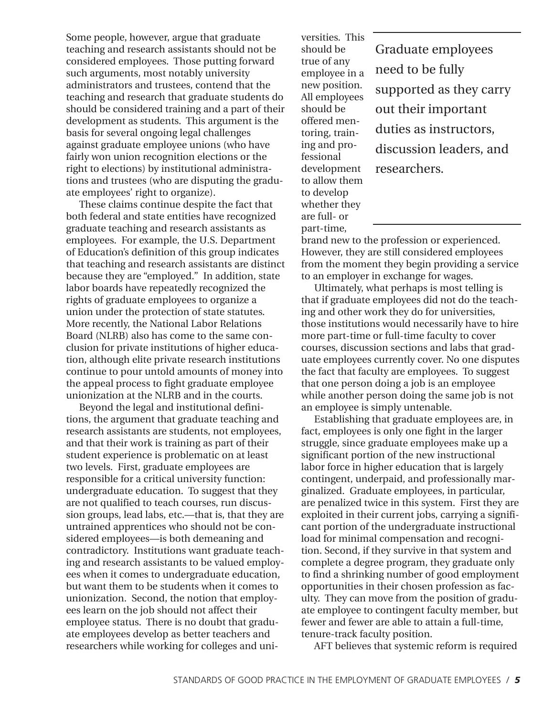Some people, however, argue that graduate teaching and research assistants should not be considered employees. Those putting forward such arguments, most notably university administrators and trustees, contend that the teaching and research that graduate students do should be considered training and a part of their development as students. This argument is the basis for several ongoing legal challenges against graduate employee unions (who have fairly won union recognition elections or the right to elections) by institutional administrations and trustees (who are disputing the graduate employees' right to organize).

These claims continue despite the fact that both federal and state entities have recognized graduate teaching and research assistants as employees. For example, the U.S. Department of Educationís definition of this group indicates that teaching and research assistants are distinct because they are "employed." In addition, state labor boards have repeatedly recognized the rights of graduate employees to organize a union under the protection of state statutes. More recently, the National Labor Relations Board (NLRB) also has come to the same conclusion for private institutions of higher education, although elite private research institutions continue to pour untold amounts of money into the appeal process to fight graduate employee unionization at the NLRB and in the courts.

Beyond the legal and institutional definitions, the argument that graduate teaching and research assistants are students, not employees, and that their work is training as part of their student experience is problematic on at least two levels. First, graduate employees are responsible for a critical university function: undergraduate education. To suggest that they are not qualified to teach courses, run discussion groups, lead labs, etc.—that is, that they are untrained apprentices who should not be considered employees—is both demeaning and contradictory. Institutions want graduate teaching and research assistants to be valued employees when it comes to undergraduate education, but want them to be students when it comes to unionization. Second, the notion that employees learn on the job should not affect their employee status. There is no doubt that graduate employees develop as better teachers and researchers while working for colleges and universities. This should be true of any employee in a new position. All employees should be offered mentoring, training and professional development to allow them to develop whether they are full- or part-time,

Graduate employees need to be fully supported as they carry out their important duties as instructors, discussion leaders, and researchers.

brand new to the profession or experienced. However, they are still considered employees from the moment they begin providing a service to an employer in exchange for wages.

Ultimately, what perhaps is most telling is that if graduate employees did not do the teaching and other work they do for universities, those institutions would necessarily have to hire more part-time or full-time faculty to cover courses, discussion sections and labs that graduate employees currently cover. No one disputes the fact that faculty are employees. To suggest that one person doing a job is an employee while another person doing the same job is not an employee is simply untenable.

Establishing that graduate employees are, in fact, employees is only one fight in the larger struggle, since graduate employees make up a significant portion of the new instructional labor force in higher education that is largely contingent, underpaid, and professionally marginalized. Graduate employees, in particular, are penalized twice in this system. First they are exploited in their current jobs, carrying a significant portion of the undergraduate instructional load for minimal compensation and recognition. Second, if they survive in that system and complete a degree program, they graduate only to find a shrinking number of good employment opportunities in their chosen profession as faculty. They can move from the position of graduate employee to contingent faculty member, but fewer and fewer are able to attain a full-time, tenure-track faculty position.

AFT believes that systemic reform is required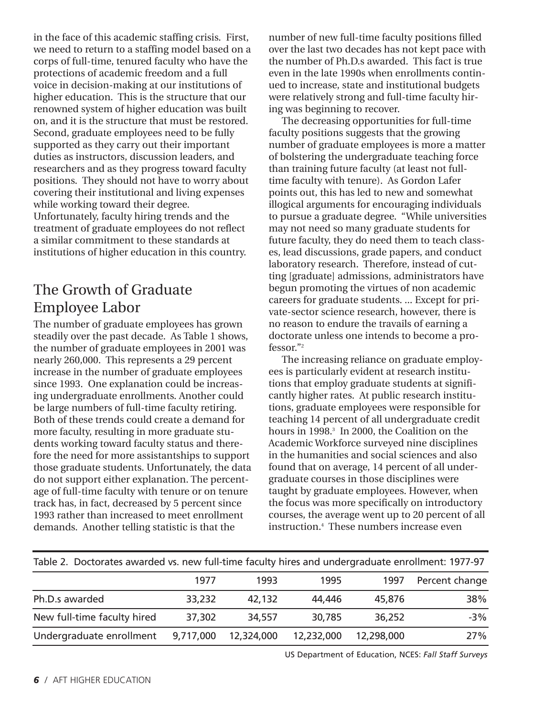in the face of this academic staffing crisis. First, we need to return to a staffing model based on a corps of full-time, tenured faculty who have the protections of academic freedom and a full voice in decision-making at our institutions of higher education. This is the structure that our renowned system of higher education was built on, and it is the structure that must be restored. Second, graduate employees need to be fully supported as they carry out their important duties as instructors, discussion leaders, and researchers and as they progress toward faculty positions. They should not have to worry about covering their institutional and living expenses while working toward their degree. Unfortunately, faculty hiring trends and the treatment of graduate employees do not reflect a similar commitment to these standards at institutions of higher education in this country.

## The Growth of Graduate Employee Labor

The number of graduate employees has grown steadily over the past decade. As Table 1 shows, the number of graduate employees in 2001 was nearly 260,000. This represents a 29 percent increase in the number of graduate employees since 1993. One explanation could be increasing undergraduate enrollments. Another could be large numbers of full-time faculty retiring. Both of these trends could create a demand for more faculty, resulting in more graduate students working toward faculty status and therefore the need for more assistantships to support those graduate students. Unfortunately, the data do not support either explanation. The percentage of full-time faculty with tenure or on tenure track has, in fact, decreased by 5 percent since 1993 rather than increased to meet enrollment demands. Another telling statistic is that the

number of new full-time faculty positions filled over the last two decades has not kept pace with the number of Ph.D.s awarded. This fact is true even in the late 1990s when enrollments continued to increase, state and institutional budgets were relatively strong and full-time faculty hiring was beginning to recover.

The decreasing opportunities for full-time faculty positions suggests that the growing number of graduate employees is more a matter of bolstering the undergraduate teaching force than training future faculty (at least not fulltime faculty with tenure). As Gordon Lafer points out, this has led to new and somewhat illogical arguments for encouraging individuals to pursue a graduate degree. "While universities may not need so many graduate students for future faculty, they do need them to teach classes, lead discussions, grade papers, and conduct laboratory research. Therefore, instead of cutting [graduate] admissions, administrators have begun promoting the virtues of non academic careers for graduate students. ... Except for private-sector science research, however, there is no reason to endure the travails of earning a doctorate unless one intends to become a pro $fessor."$ <sup>2</sup>

The increasing reliance on graduate employees is particularly evident at research institutions that employ graduate students at significantly higher rates. At public research institutions, graduate employees were responsible for teaching 14 percent of all undergraduate credit hours in 1998.<sup>3</sup> In 2000, the Coalition on the Academic Workforce surveyed nine disciplines in the humanities and social sciences and also found that on average, 14 percent of all undergraduate courses in those disciplines were taught by graduate employees. However, when the focus was more specifically on introductory courses, the average went up to 20 percent of all instruction.4 These numbers increase even

| Table 2. Doctorates awarded vs. new full-time faculty hires and undergraduate enrollment: 1977-97 |           |            |            |            |                |  |
|---------------------------------------------------------------------------------------------------|-----------|------------|------------|------------|----------------|--|
|                                                                                                   | 1977      | 1993       | 1995       | 1997       | Percent change |  |
| Ph.D.s awarded                                                                                    | 33,232    | 42,132     | 44,446     | 45,876     | 38%            |  |
| New full-time faculty hired                                                                       | 37,302    | 34,557     | 30,785     | 36,252     | $-3%$          |  |
| Undergraduate enrollment                                                                          | 9,717,000 | 12,324,000 | 12,232,000 | 12,298,000 | 27%            |  |

US Department of Education, NCES: *Fall Staff Surveys*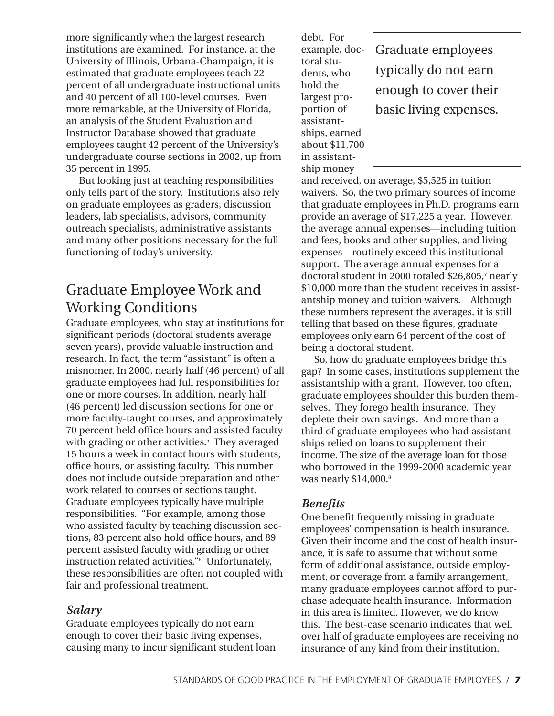more significantly when the largest research institutions are examined. For instance, at the University of Illinois, Urbana-Champaign, it is estimated that graduate employees teach 22 percent of all undergraduate instructional units and 40 percent of all 100-level courses. Even more remarkable, at the University of Florida, an analysis of the Student Evaluation and Instructor Database showed that graduate employees taught 42 percent of the University's undergraduate course sections in 2002, up from 35 percent in 1995.

But looking just at teaching responsibilities only tells part of the story. Institutions also rely on graduate employees as graders, discussion leaders, lab specialists, advisors, community outreach specialists, administrative assistants and many other positions necessary for the full functioning of today's university.

# Graduate Employee Work and Working Conditions

Graduate employees, who stay at institutions for significant periods (doctoral students average seven years), provide valuable instruction and research. In fact, the term "assistant" is often a misnomer. In 2000, nearly half (46 percent) of all graduate employees had full responsibilities for one or more courses. In addition, nearly half (46 percent) led discussion sections for one or more faculty-taught courses, and approximately 70 percent held office hours and assisted faculty with grading or other activities.<sup>5</sup> They averaged 15 hours a week in contact hours with students, office hours, or assisting faculty. This number does not include outside preparation and other work related to courses or sections taught. Graduate employees typically have multiple responsibilities. "For example, among those who assisted faculty by teaching discussion sections, 83 percent also hold office hours, and 89 percent assisted faculty with grading or other instruction related activities."<sup>6</sup> Unfortunately, these responsibilities are often not coupled with fair and professional treatment.

#### *Salary*

Graduate employees typically do not earn enough to cover their basic living expenses, causing many to incur significant student loan debt. For example, doctoral students, who hold the largest proportion of assistantships, earned about \$11,700 in assistantship money

Graduate employees typically do not earn enough to cover their basic living expenses.

and received, on average, \$5,525 in tuition waivers. So, the two primary sources of income that graduate employees in Ph.D. programs earn provide an average of \$17,225 a year. However, the average annual expenses—including tuition and fees, books and other supplies, and living expenses—routinely exceed this institutional support. The average annual expenses for a doctoral student in 2000 totaled \$26,805,7 nearly \$10,000 more than the student receives in assistantship money and tuition waivers. Although these numbers represent the averages, it is still telling that based on these figures, graduate employees only earn 64 percent of the cost of being a doctoral student.

So, how do graduate employees bridge this gap? In some cases, institutions supplement the assistantship with a grant. However, too often, graduate employees shoulder this burden themselves. They forego health insurance. They deplete their own savings. And more than a third of graduate employees who had assistantships relied on loans to supplement their income. The size of the average loan for those who borrowed in the 1999-2000 academic year was nearly  $$14,000$ .<sup>8</sup>

#### *Benefits*

One benefit frequently missing in graduate employees' compensation is health insurance. Given their income and the cost of health insurance, it is safe to assume that without some form of additional assistance, outside employment, or coverage from a family arrangement, many graduate employees cannot afford to purchase adequate health insurance. Information in this area is limited. However, we do know this. The best-case scenario indicates that well over half of graduate employees are receiving no insurance of any kind from their institution.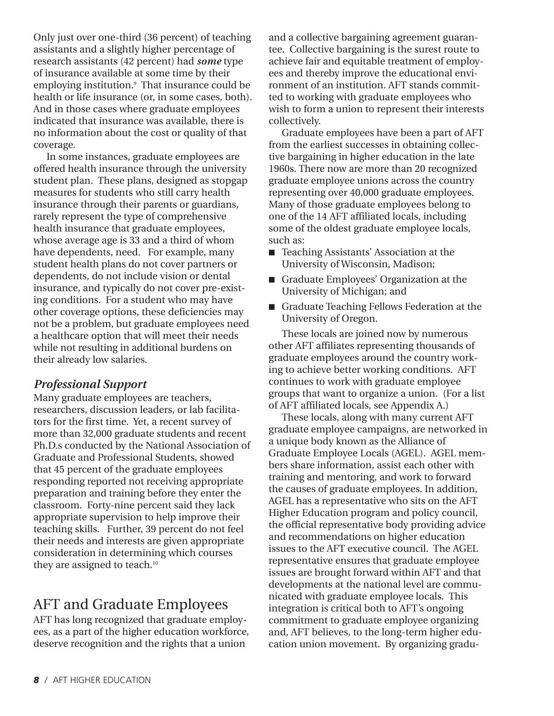Only just over one-third (36 percent) of teaching assistants and a slightly higher percentage of research assistants (42 percent) had *some* type of insurance available at some time by their employing institution.<sup>9</sup> That insurance could be health or life insurance (or, in some cases, both). And in those cases where graduate employees indicated that insurance was available, there is no information about the cost or quality of that coverage.

In some instances, graduate employees are offered health insurance through the university student plan. These plans, designed as stopgap measures for students who still carry health insurance through their parents or guardians, rarely represent the type of comprehensive health insurance that graduate employees, whose average age is 33 and a third of whom have dependents, need. For example, many student health plans do not cover partners or dependents, do not include vision or dental insurance, and typically do not cover pre-existing conditions. For a student who may have other coverage options, these deficiencies may not be a problem, but graduate employees need a healthcare option that will meet their needs while not resulting in additional burdens on their already low salaries.

#### *Professional Support*

Many graduate employees are teachers, researchers, discussion leaders, or lab facilitators for the first time. Yet, a recent survey of more than 32,000 graduate students and recent Ph.D.s conducted by the National Association of Graduate and Professional Students, showed that 45 percent of the graduate employees responding reported not receiving appropriate preparation and training before they enter the classroom. Forty-nine percent said they lack appropriate supervision to help improve their teaching skills. Further, 39 percent do not feel their needs and interests are given appropriate consideration in determining which courses they are assigned to teach.<sup>10</sup>

### AFT and Graduate Employees

AFT has long recognized that graduate employees, as a part of the higher education workforce, deserve recognition and the rights that a union

and a collective bargaining agreement guarantee. Collective bargaining is the surest route to achieve fair and equitable treatment of employees and thereby improve the educational environment of an institution. AFT stands committed to working with graduate employees who wish to form a union to represent their interests collectively.

Graduate employees have been a part of AFT from the earliest successes in obtaining collective bargaining in higher education in the late 1960s. There now are more than 20 recognized graduate employee unions across the country representing over 40,000 graduate employees. Many of those graduate employees belong to one of the 14 AFT affiliated locals, including some of the oldest graduate employee locals, such as:

- Teaching Assistants' Association at the University of Wisconsin, Madison;
- Graduate Employees' Organization at the University of Michigan; and
- Graduate Teaching Fellows Federation at the University of Oregon.

These locals are joined now by numerous other AFT affiliates representing thousands of graduate employees around the country working to achieve better working conditions. AFT continues to work with graduate employee groups that want to organize a union. (For a list of AFT affiliated locals, see Appendix A.)

These locals, along with many current AFT graduate employee campaigns, are networked in a unique body known as the Alliance of Graduate Employee Locals (AGEL). AGEL members share information, assist each other with training and mentoring, and work to forward the causes of graduate employees. In addition, AGEL has a representative who sits on the AFT Higher Education program and policy council, the official representative body providing advice and recommendations on higher education issues to the AFT executive council. The AGEL representative ensures that graduate employee issues are brought forward within AFT and that developments at the national level are communicated with graduate employee locals. This integration is critical both to AFT's ongoing commitment to graduate employee organizing and, AFT believes, to the long-term higher education union movement. By organizing gradu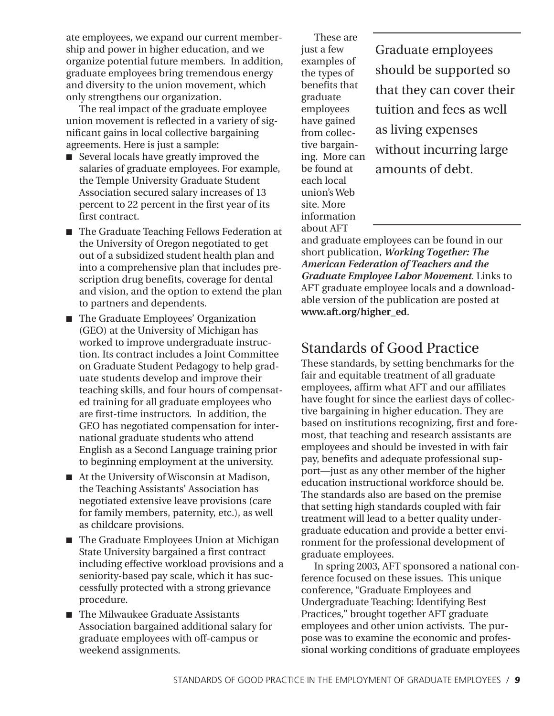ate employees, we expand our current membership and power in higher education, and we organize potential future members. In addition, graduate employees bring tremendous energy and diversity to the union movement, which only strengthens our organization.

The real impact of the graduate employee union movement is reflected in a variety of significant gains in local collective bargaining agreements. Here is just a sample:

- Several locals have greatly improved the salaries of graduate employees. For example, the Temple University Graduate Student Association secured salary increases of 13 percent to 22 percent in the first year of its first contract.
- The Graduate Teaching Fellows Federation at the University of Oregon negotiated to get out of a subsidized student health plan and into a comprehensive plan that includes prescription drug benefits, coverage for dental and vision, and the option to extend the plan to partners and dependents.
- The Graduate Employees' Organization (GEO) at the University of Michigan has worked to improve undergraduate instruction. Its contract includes a Joint Committee on Graduate Student Pedagogy to help graduate students develop and improve their teaching skills, and four hours of compensated training for all graduate employees who are first-time instructors. In addition, the GEO has negotiated compensation for international graduate students who attend English as a Second Language training prior to beginning employment at the university.
- At the University of Wisconsin at Madison, the Teaching Assistants' Association has negotiated extensive leave provisions (care for family members, paternity, etc.), as well as childcare provisions.
- The Graduate Employees Union at Michigan State University bargained a first contract including effective workload provisions and a seniority-based pay scale, which it has successfully protected with a strong grievance procedure.
- The Milwaukee Graduate Assistants Association bargained additional salary for graduate employees with off-campus or weekend assignments.

These are just a few examples of the types of benefits that graduate employees have gained from collective bargaining. More can be found at each local unionís Web site. More information about AFT

Graduate employees should be supported so that they can cover their tuition and fees as well as living expenses without incurring large amounts of debt.

and graduate employees can be found in our short publication, *Working Together: The American Federation of Teachers and the Graduate Employee Labor Movement*. Links to AFT graduate employee locals and a downloadable version of the publication are posted at **www.aft.org/higher\_ed**.

## Standards of Good Practice

These standards, by setting benchmarks for the fair and equitable treatment of all graduate employees, affirm what AFT and our affiliates have fought for since the earliest days of collective bargaining in higher education. They are based on institutions recognizing, first and foremost, that teaching and research assistants are employees and should be invested in with fair pay, benefits and adequate professional support—just as any other member of the higher education instructional workforce should be. The standards also are based on the premise that setting high standards coupled with fair treatment will lead to a better quality undergraduate education and provide a better environment for the professional development of graduate employees.

In spring 2003, AFT sponsored a national conference focused on these issues. This unique conference, "Graduate Employees and Undergraduate Teaching: Identifying Best Practices," brought together AFT graduate employees and other union activists. The purpose was to examine the economic and professional working conditions of graduate employees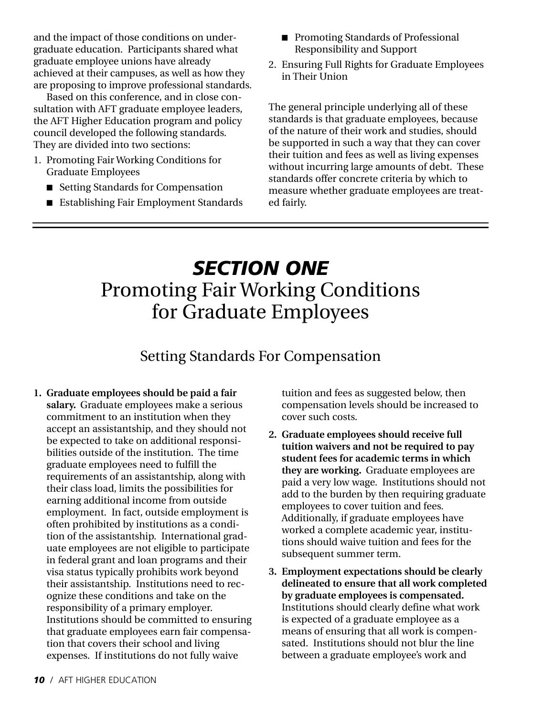and the impact of those conditions on undergraduate education. Participants shared what graduate employee unions have already achieved at their campuses, as well as how they are proposing to improve professional standards.

Based on this conference, and in close consultation with AFT graduate employee leaders, the AFT Higher Education program and policy council developed the following standards. They are divided into two sections:

- 1. Promoting Fair Working Conditions for Graduate Employees
	- Setting Standards for Compensation
	- Establishing Fair Employment Standards
- Promoting Standards of Professional Responsibility and Support
- 2. Ensuring Full Rights for Graduate Employees in Their Union

The general principle underlying all of these standards is that graduate employees, because of the nature of their work and studies, should be supported in such a way that they can cover their tuition and fees as well as living expenses without incurring large amounts of debt. These standards offer concrete criteria by which to measure whether graduate employees are treated fairly.

# *SECTION ONE* Promoting Fair Working Conditions for Graduate Employees

# Setting Standards For Compensation

**1. Graduate employees should be paid a fair salary.** Graduate employees make a serious commitment to an institution when they accept an assistantship, and they should not be expected to take on additional responsibilities outside of the institution. The time graduate employees need to fulfill the requirements of an assistantship, along with their class load, limits the possibilities for earning additional income from outside employment. In fact, outside employment is often prohibited by institutions as a condition of the assistantship. International graduate employees are not eligible to participate in federal grant and loan programs and their visa status typically prohibits work beyond their assistantship. Institutions need to recognize these conditions and take on the responsibility of a primary employer. Institutions should be committed to ensuring that graduate employees earn fair compensation that covers their school and living expenses. If institutions do not fully waive

tuition and fees as suggested below, then compensation levels should be increased to cover such costs.

- **2. Graduate employees should receive full tuition waivers and not be required to pay student fees for academic terms in which they are working.** Graduate employees are paid a very low wage. Institutions should not add to the burden by then requiring graduate employees to cover tuition and fees. Additionally, if graduate employees have worked a complete academic year, institutions should waive tuition and fees for the subsequent summer term.
- **3. Employment expectations should be clearly delineated to ensure that all work completed by graduate employees is compensated.** Institutions should clearly define what work is expected of a graduate employee as a means of ensuring that all work is compensated. Institutions should not blur the line between a graduate employee's work and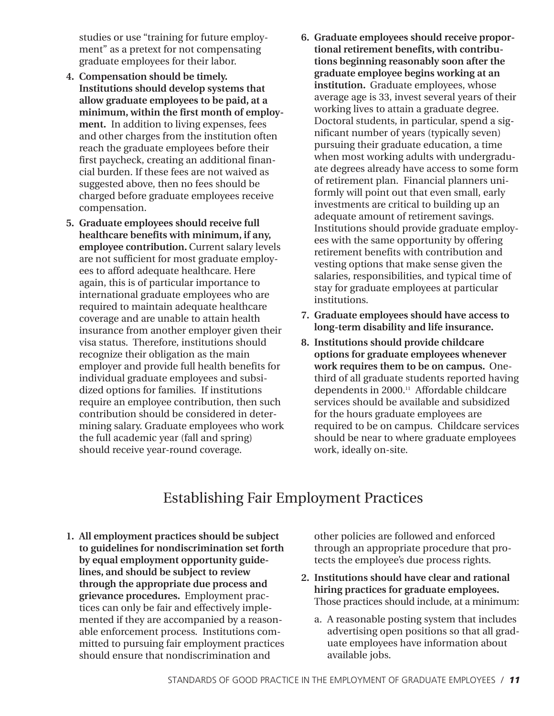studies or use "training for future employment" as a pretext for not compensating graduate employees for their labor.

- **4. Compensation should be timely. Institutions should develop systems that allow graduate employees to be paid, at a minimum, within the first month of employment.** In addition to living expenses, fees and other charges from the institution often reach the graduate employees before their first paycheck, creating an additional financial burden. If these fees are not waived as suggested above, then no fees should be charged before graduate employees receive compensation.
- **5. Graduate employees should receive full healthcare benefits with minimum, if any, employee contribution.** Current salary levels are not sufficient for most graduate employees to afford adequate healthcare. Here again, this is of particular importance to international graduate employees who are required to maintain adequate healthcare coverage and are unable to attain health insurance from another employer given their visa status. Therefore, institutions should recognize their obligation as the main employer and provide full health benefits for individual graduate employees and subsidized options for families. If institutions require an employee contribution, then such contribution should be considered in determining salary. Graduate employees who work the full academic year (fall and spring) should receive year-round coverage.
- **6. Graduate employees should receive proportional retirement benefits, with contributions beginning reasonably soon after the graduate employee begins working at an institution.** Graduate employees, whose average age is 33, invest several years of their working lives to attain a graduate degree. Doctoral students, in particular, spend a significant number of years (typically seven) pursuing their graduate education, a time when most working adults with undergraduate degrees already have access to some form of retirement plan. Financial planners uniformly will point out that even small, early investments are critical to building up an adequate amount of retirement savings. Institutions should provide graduate employees with the same opportunity by offering retirement benefits with contribution and vesting options that make sense given the salaries, responsibilities, and typical time of stay for graduate employees at particular institutions.
- **7. Graduate employees should have access to long-term disability and life insurance.**
- **8. Institutions should provide childcare options for graduate employees whenever work requires them to be on campus.** Onethird of all graduate students reported having dependents in 2000.11 Affordable childcare services should be available and subsidized for the hours graduate employees are required to be on campus. Childcare services should be near to where graduate employees work, ideally on-site.

## Establishing Fair Employment Practices

**1. All employment practices should be subject to guidelines for nondiscrimination set forth by equal employment opportunity guidelines, and should be subject to review through the appropriate due process and grievance procedures.** Employment practices can only be fair and effectively implemented if they are accompanied by a reasonable enforcement process. Institutions committed to pursuing fair employment practices should ensure that nondiscrimination and

other policies are followed and enforced through an appropriate procedure that protects the employee's due process rights.

- **2. Institutions should have clear and rational hiring practices for graduate employees.** Those practices should include, at a minimum:
	- a. A reasonable posting system that includes advertising open positions so that all graduate employees have information about available jobs.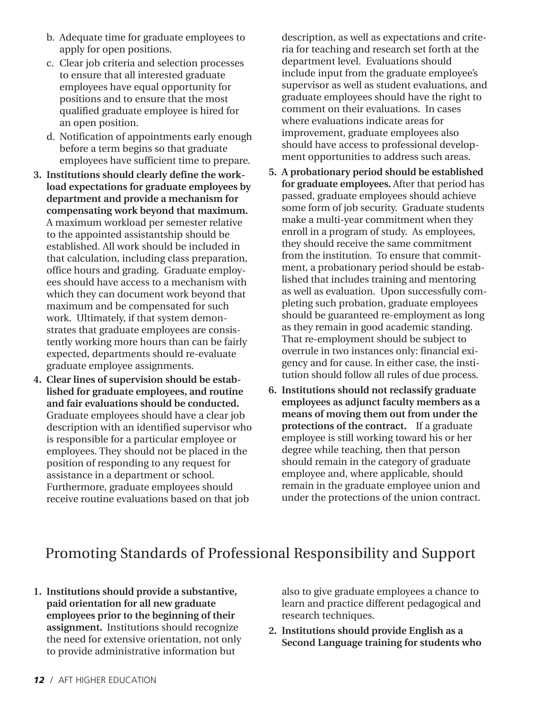- b. Adequate time for graduate employees to apply for open positions.
- c. Clear job criteria and selection processes to ensure that all interested graduate employees have equal opportunity for positions and to ensure that the most qualified graduate employee is hired for an open position.
- d. Notification of appointments early enough before a term begins so that graduate employees have sufficient time to prepare.
- **3. Institutions should clearly define the workload expectations for graduate employees by department and provide a mechanism for compensating work beyond that maximum.** A maximum workload per semester relative to the appointed assistantship should be established. All work should be included in that calculation, including class preparation, office hours and grading. Graduate employees should have access to a mechanism with which they can document work beyond that maximum and be compensated for such work. Ultimately, if that system demonstrates that graduate employees are consistently working more hours than can be fairly expected, departments should re-evaluate graduate employee assignments.
- **4. Clear lines of supervision should be established for graduate employees, and routine and fair evaluations should be conducted.** Graduate employees should have a clear job description with an identified supervisor who is responsible for a particular employee or employees. They should not be placed in the position of responding to any request for assistance in a department or school. Furthermore, graduate employees should receive routine evaluations based on that job

description, as well as expectations and criteria for teaching and research set forth at the department level. Evaluations should include input from the graduate employee's supervisor as well as student evaluations, and graduate employees should have the right to comment on their evaluations. In cases where evaluations indicate areas for improvement, graduate employees also should have access to professional development opportunities to address such areas.

- **5. A probationary period should be established for graduate employees.** After that period has passed, graduate employees should achieve some form of job security. Graduate students make a multi-year commitment when they enroll in a program of study. As employees, they should receive the same commitment from the institution. To ensure that commitment, a probationary period should be established that includes training and mentoring as well as evaluation. Upon successfully completing such probation, graduate employees should be guaranteed re-employment as long as they remain in good academic standing. That re-employment should be subject to overrule in two instances only: financial exigency and for cause. In either case, the institution should follow all rules of due process.
- **6. Institutions should not reclassify graduate employees as adjunct faculty members as a means of moving them out from under the protections of the contract.** If a graduate employee is still working toward his or her degree while teaching, then that person should remain in the category of graduate employee and, where applicable, should remain in the graduate employee union and under the protections of the union contract.

## Promoting Standards of Professional Responsibility and Support

**1. Institutions should provide a substantive, paid orientation for all new graduate employees prior to the beginning of their assignment.** Institutions should recognize the need for extensive orientation, not only to provide administrative information but

also to give graduate employees a chance to learn and practice different pedagogical and research techniques.

**2. Institutions should provide English as a Second Language training for students who**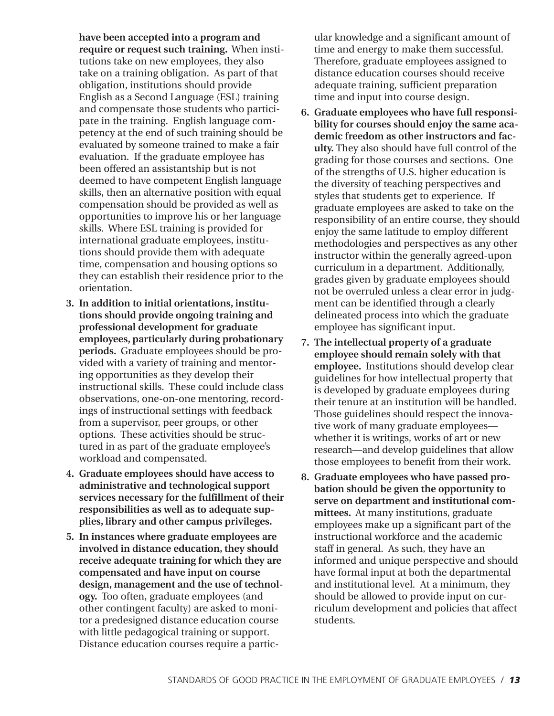**have been accepted into a program and require or request such training.** When institutions take on new employees, they also take on a training obligation. As part of that obligation, institutions should provide English as a Second Language (ESL) training and compensate those students who participate in the training. English language competency at the end of such training should be evaluated by someone trained to make a fair evaluation. If the graduate employee has been offered an assistantship but is not deemed to have competent English language skills, then an alternative position with equal compensation should be provided as well as opportunities to improve his or her language skills. Where ESL training is provided for international graduate employees, institutions should provide them with adequate time, compensation and housing options so they can establish their residence prior to the orientation.

- **3. In addition to initial orientations, institutions should provide ongoing training and professional development for graduate employees, particularly during probationary periods.** Graduate employees should be provided with a variety of training and mentoring opportunities as they develop their instructional skills. These could include class observations, one-on-one mentoring, recordings of instructional settings with feedback from a supervisor, peer groups, or other options. These activities should be structured in as part of the graduate employee's workload and compensated.
- **4. Graduate employees should have access to administrative and technological support services necessary for the fulfillment of their responsibilities as well as to adequate supplies, library and other campus privileges.**
- **5. In instances where graduate employees are involved in distance education, they should receive adequate training for which they are compensated and have input on course design, management and the use of technology.** Too often, graduate employees (and other contingent faculty) are asked to monitor a predesigned distance education course with little pedagogical training or support. Distance education courses require a partic-

ular knowledge and a significant amount of time and energy to make them successful. Therefore, graduate employees assigned to distance education courses should receive adequate training, sufficient preparation time and input into course design.

- **6. Graduate employees who have full responsibility for courses should enjoy the same academic freedom as other instructors and faculty.** They also should have full control of the grading for those courses and sections. One of the strengths of U.S. higher education is the diversity of teaching perspectives and styles that students get to experience. If graduate employees are asked to take on the responsibility of an entire course, they should enjoy the same latitude to employ different methodologies and perspectives as any other instructor within the generally agreed-upon curriculum in a department. Additionally, grades given by graduate employees should not be overruled unless a clear error in judgment can be identified through a clearly delineated process into which the graduate employee has significant input.
- **7. The intellectual property of a graduate employee should remain solely with that employee.** Institutions should develop clear guidelines for how intellectual property that is developed by graduate employees during their tenure at an institution will be handled. Those guidelines should respect the innovative work of many graduate employees whether it is writings, works of art or new research—and develop guidelines that allow those employees to benefit from their work.
- **8. Graduate employees who have passed probation should be given the opportunity to serve on department and institutional committees.** At many institutions, graduate employees make up a significant part of the instructional workforce and the academic staff in general. As such, they have an informed and unique perspective and should have formal input at both the departmental and institutional level. At a minimum, they should be allowed to provide input on curriculum development and policies that affect students.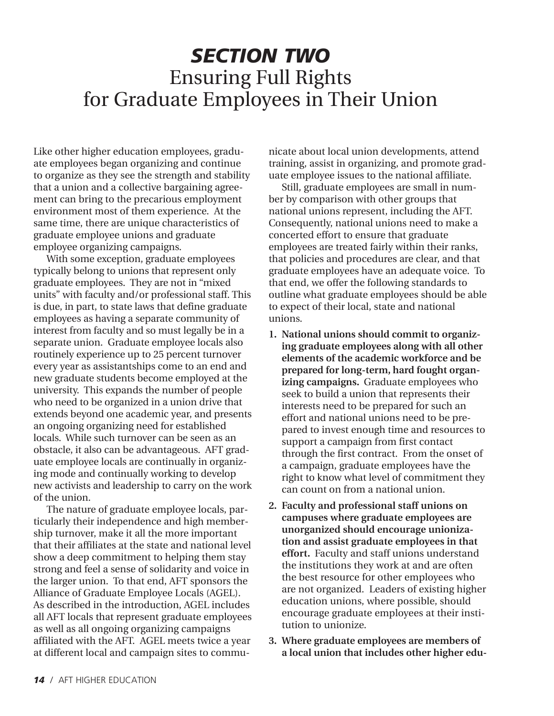# *SECTION TWO* Ensuring Full Rights for Graduate Employees in Their Union

Like other higher education employees, graduate employees began organizing and continue to organize as they see the strength and stability that a union and a collective bargaining agreement can bring to the precarious employment environment most of them experience. At the same time, there are unique characteristics of graduate employee unions and graduate employee organizing campaigns.

With some exception, graduate employees typically belong to unions that represent only graduate employees. They are not in "mixed units" with faculty and/or professional staff. This is due, in part, to state laws that define graduate employees as having a separate community of interest from faculty and so must legally be in a separate union. Graduate employee locals also routinely experience up to 25 percent turnover every year as assistantships come to an end and new graduate students become employed at the university. This expands the number of people who need to be organized in a union drive that extends beyond one academic year, and presents an ongoing organizing need for established locals. While such turnover can be seen as an obstacle, it also can be advantageous. AFT graduate employee locals are continually in organizing mode and continually working to develop new activists and leadership to carry on the work of the union.

The nature of graduate employee locals, particularly their independence and high membership turnover, make it all the more important that their affiliates at the state and national level show a deep commitment to helping them stay strong and feel a sense of solidarity and voice in the larger union. To that end, AFT sponsors the Alliance of Graduate Employee Locals (AGEL). As described in the introduction, AGEL includes all AFT locals that represent graduate employees as well as all ongoing organizing campaigns affiliated with the AFT. AGEL meets twice a year at different local and campaign sites to commu-

nicate about local union developments, attend training, assist in organizing, and promote graduate employee issues to the national affiliate.

Still, graduate employees are small in number by comparison with other groups that national unions represent, including the AFT. Consequently, national unions need to make a concerted effort to ensure that graduate employees are treated fairly within their ranks, that policies and procedures are clear, and that graduate employees have an adequate voice. To that end, we offer the following standards to outline what graduate employees should be able to expect of their local, state and national unions.

- **1. National unions should commit to organizing graduate employees along with all other elements of the academic workforce and be prepared for long-term, hard fought organizing campaigns.** Graduate employees who seek to build a union that represents their interests need to be prepared for such an effort and national unions need to be prepared to invest enough time and resources to support a campaign from first contact through the first contract. From the onset of a campaign, graduate employees have the right to know what level of commitment they can count on from a national union.
- **2. Faculty and professional staff unions on campuses where graduate employees are unorganized should encourage unionization and assist graduate employees in that effort.** Faculty and staff unions understand the institutions they work at and are often the best resource for other employees who are not organized. Leaders of existing higher education unions, where possible, should encourage graduate employees at their institution to unionize.
- **3. Where graduate employees are members of a local union that includes other higher edu-**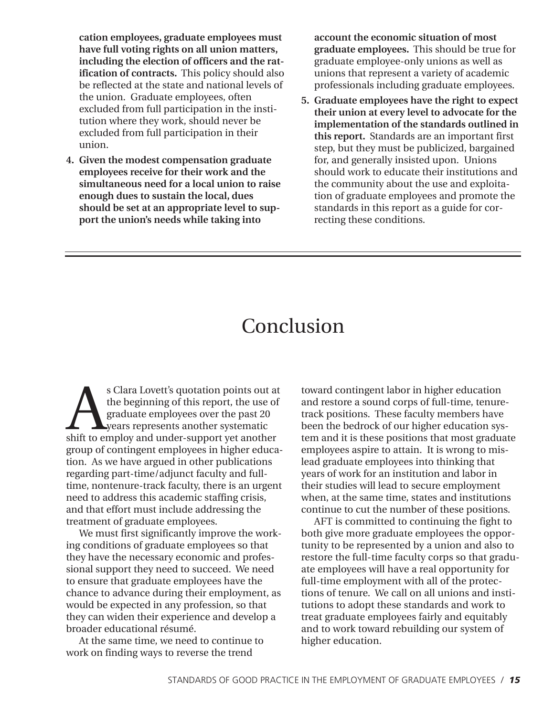**cation employees, graduate employees must have full voting rights on all union matters, including the election of officers and the ratification of contracts.** This policy should also be reflected at the state and national levels of the union. Graduate employees, often excluded from full participation in the institution where they work, should never be excluded from full participation in their union.

**4. Given the modest compensation graduate employees receive for their work and the simultaneous need for a local union to raise enough dues to sustain the local, dues should be set at an appropriate level to support the unionís needs while taking into**

**account the economic situation of most graduate employees.** This should be true for graduate employee-only unions as well as unions that represent a variety of academic professionals including graduate employees.

**5. Graduate employees have the right to expect their union at every level to advocate for the implementation of the standards outlined in this report.** Standards are an important first step, but they must be publicized, bargained for, and generally insisted upon. Unions should work to educate their institutions and the community about the use and exploitation of graduate employees and promote the standards in this report as a guide for correcting these conditions.

# Conclusion

s Clara Lovett's quotation points out at<br>the beginning of this report, the use of<br>graduate employees over the past 20<br>shift to employ and under-support yet another the beginning of this report, the use of graduate employees over the past 20 years represents another systematic group of contingent employees in higher education. As we have argued in other publications regarding part-time/adjunct faculty and fulltime, nontenure-track faculty, there is an urgent need to address this academic staffing crisis, and that effort must include addressing the treatment of graduate employees.

We must first significantly improve the working conditions of graduate employees so that they have the necessary economic and professional support they need to succeed. We need to ensure that graduate employees have the chance to advance during their employment, as would be expected in any profession, so that they can widen their experience and develop a broader educational résumé.

At the same time, we need to continue to work on finding ways to reverse the trend

toward contingent labor in higher education and restore a sound corps of full-time, tenuretrack positions. These faculty members have been the bedrock of our higher education system and it is these positions that most graduate employees aspire to attain. It is wrong to mislead graduate employees into thinking that years of work for an institution and labor in their studies will lead to secure employment when, at the same time, states and institutions continue to cut the number of these positions.

AFT is committed to continuing the fight to both give more graduate employees the opportunity to be represented by a union and also to restore the full-time faculty corps so that graduate employees will have a real opportunity for full-time employment with all of the protections of tenure. We call on all unions and institutions to adopt these standards and work to treat graduate employees fairly and equitably and to work toward rebuilding our system of higher education.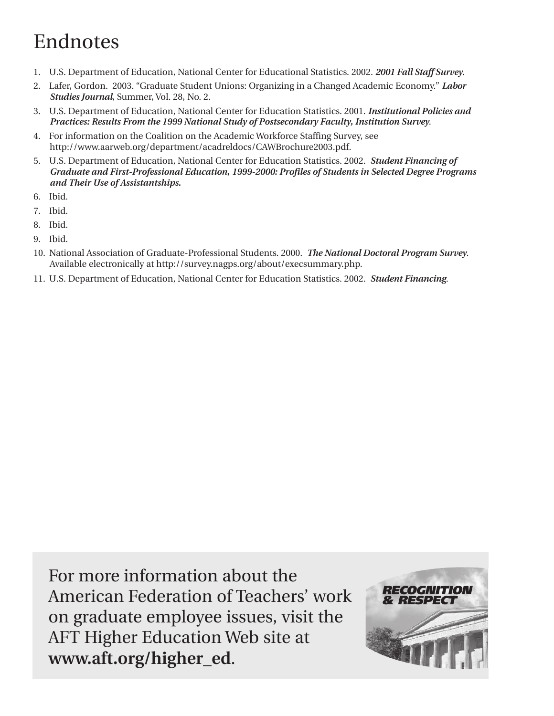# Endnotes

- 1. U.S. Department of Education, National Center for Educational Statistics. 2002. *2001 Fall Staff Survey*.
- 2. Lafer, Gordon. 2003. "Graduate Student Unions: Organizing in a Changed Academic Economy." *Labor Studies Journal*, Summer, Vol. 28, No. 2.
- 3. U.S. Department of Education, National Center for Education Statistics. 2001. *Institutional Policies and Practices: Results From the 1999 National Study of Postsecondary Faculty, Institution Survey*.
- 4. For information on the Coalition on the Academic Workforce Staffing Survey, see http://www.aarweb.org/department/acadreldocs/CAWBrochure2003.pdf.
- 5. U.S. Department of Education, National Center for Education Statistics. 2002. *Student Financing of Graduate and First-Professional Education, 1999-2000: Profiles of Students in Selected Degree Programs and Their Use of Assistantships.*
- 6. Ibid.
- 7. Ibid.
- 8. Ibid.
- 9. Ibid.
- 10. National Association of Graduate-Professional Students. 2000. *The National Doctoral Program Survey*. Available electronically at http://survey.nagps.org/about/execsummary.php.
- 11. U.S. Department of Education, National Center for Education Statistics. 2002. *Student Financing*.

For more information about the American Federation of Teachers' work on graduate employee issues, visit the AFT Higher Education Web site at **www.aft.org/higher\_ed**.

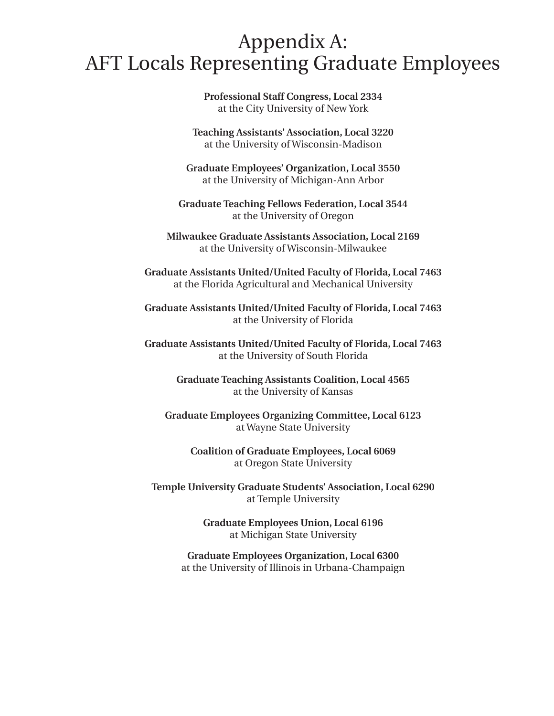# Appendix A: AFT Locals Representing Graduate Employees

**Professional Staff Congress, Local 2334** at the City University of New York

**Teaching Assistantsí Association, Local 3220** at the University of Wisconsin-Madison

**Graduate Employeesí Organization, Local 3550** at the University of Michigan-Ann Arbor

**Graduate Teaching Fellows Federation, Local 3544** at the University of Oregon

**Milwaukee Graduate Assistants Association, Local 2169** at the University of Wisconsin-Milwaukee

**Graduate Assistants United/United Faculty of Florida, Local 7463** at the Florida Agricultural and Mechanical University

**Graduate Assistants United/United Faculty of Florida, Local 7463** at the University of Florida

**Graduate Assistants United/United Faculty of Florida, Local 7463** at the University of South Florida

> **Graduate Teaching Assistants Coalition, Local 4565** at the University of Kansas

**Graduate Employees Organizing Committee, Local 6123** at Wayne State University

> **Coalition of Graduate Employees, Local 6069** at Oregon State University

**Temple University Graduate Studentsí Association, Local 6290** at Temple University

> **Graduate Employees Union, Local 6196** at Michigan State University

**Graduate Employees Organization, Local 6300** at the University of Illinois in Urbana-Champaign